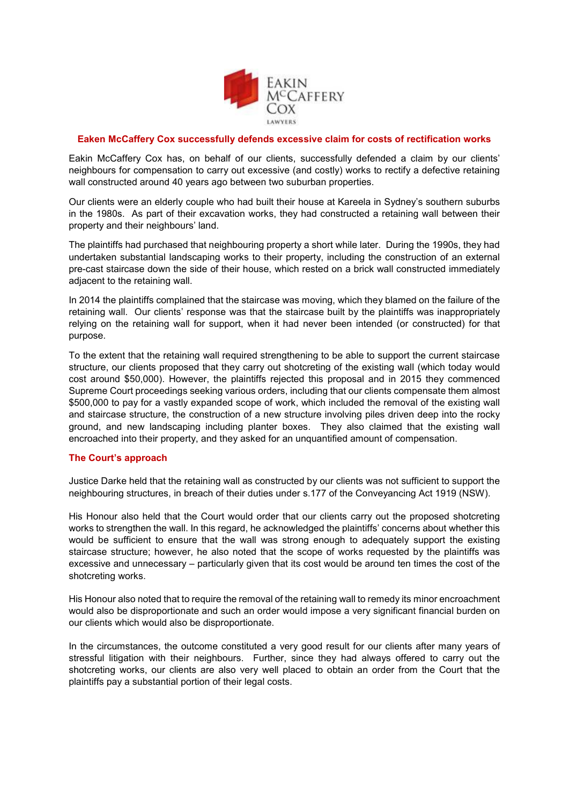

## **Eaken McCaffery Cox successfully defends excessive claim for costs of rectification works**

Eakin McCaffery Cox has, on behalf of our clients, successfully defended a claim by our clients' neighbours for compensation to carry out excessive (and costly) works to rectify a defective retaining wall constructed around 40 years ago between two suburban properties.

Our clients were an elderly couple who had built their house at Kareela in Sydney's southern suburbs in the 1980s. As part of their excavation works, they had constructed a retaining wall between their property and their neighbours' land.

The plaintiffs had purchased that neighbouring property a short while later. During the 1990s, they had undertaken substantial landscaping works to their property, including the construction of an external pre-cast staircase down the side of their house, which rested on a brick wall constructed immediately adjacent to the retaining wall.

In 2014 the plaintiffs complained that the staircase was moving, which they blamed on the failure of the retaining wall. Our clients' response was that the staircase built by the plaintiffs was inappropriately relying on the retaining wall for support, when it had never been intended (or constructed) for that purpose.

To the extent that the retaining wall required strengthening to be able to support the current staircase structure, our clients proposed that they carry out shotcreting of the existing wall (which today would cost around \$50,000). However, the plaintiffs rejected this proposal and in 2015 they commenced Supreme Court proceedings seeking various orders, including that our clients compensate them almost \$500,000 to pay for a vastly expanded scope of work, which included the removal of the existing wall and staircase structure, the construction of a new structure involving piles driven deep into the rocky ground, and new landscaping including planter boxes. They also claimed that the existing wall encroached into their property, and they asked for an unquantified amount of compensation.

## **The Court's approach**

Justice Darke held that the retaining wall as constructed by our clients was not sufficient to support the neighbouring structures, in breach of their duties under s.177 of the Conveyancing Act 1919 (NSW).

His Honour also held that the Court would order that our clients carry out the proposed shotcreting works to strengthen the wall. In this regard, he acknowledged the plaintiffs' concerns about whether this would be sufficient to ensure that the wall was strong enough to adequately support the existing staircase structure; however, he also noted that the scope of works requested by the plaintiffs was excessive and unnecessary – particularly given that its cost would be around ten times the cost of the shotcreting works.

His Honour also noted that to require the removal of the retaining wall to remedy its minor encroachment would also be disproportionate and such an order would impose a very significant financial burden on our clients which would also be disproportionate.

In the circumstances, the outcome constituted a very good result for our clients after many years of stressful litigation with their neighbours. Further, since they had always offered to carry out the shotcreting works, our clients are also very well placed to obtain an order from the Court that the plaintiffs pay a substantial portion of their legal costs.